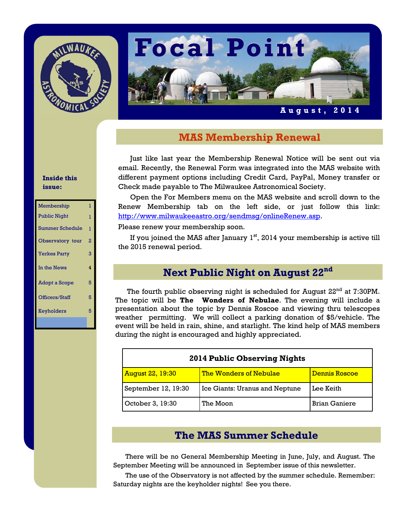



## **August, 2014**

## **MAS Membership Renewal**

Just like last year the Membership Renewal Notice will be sent out via email. Recently, the Renewal Form was integrated into the MAS website with different payment options including Credit Card, PayPal, Money transfer or Check made payable to The Milwaukee Astronomical Society.

 Open the For Members menu on the MAS website and scroll down to the Renew Membership tab on the left side, or just follow this link: http://www.milwaukeeastro.org/sendmsg/onlineRenew.asp.

Please renew your membership soon.

If you joined the MAS after January  $1<sup>st</sup>$ , 2014 your membership is active till the 2015 renewal period.

# **Next Public Night on August 22nd**

The fourth public observing night is scheduled for August 22<sup>nd</sup> at 7:30PM. The topic will be **The Wonders of Nebulae**. The evening will include a presentation about the topic by Dennis Roscoe and viewing thru telescopes weather permitting. We will collect a parking donation of \$5/vehicle. The event will be held in rain, shine, and starlight. The kind help of MAS members during the night is encouraged and highly appreciated.

| 2014 Public Observing Nights |                                |                      |
|------------------------------|--------------------------------|----------------------|
| <b>August 22, 19:30</b>      | <u>The Wonders of Nebulae</u>  | <b>Dennis Roscoe</b> |
| September 12, 19:30          | Ice Giants: Uranus and Neptune | Lee Keith            |
| October 3, 19:30             | The Moon                       | <b>Brian Ganiere</b> |

## **The MAS Summer Schedule**

 There will be no General Membership Meeting in June, July, and August. The September Meeting will be announced in September issue of this newsletter.

 The use of the Observatory is not affected by the summer schedule. Remember: Saturday nights are the keyholder nights! See you there.

## **Inside this issue:**

| Membership             | 1 |
|------------------------|---|
| <b>Public Night</b>    | 1 |
| <b>Summer Schedule</b> | ī |
| Observatory tour       | 2 |
| <b>Yerkes Party</b>    | 3 |
| In the News            | 4 |
| Adopt a Scope          | 5 |
| Officers/Staff         | 5 |
| Keyholders             | 5 |
|                        |   |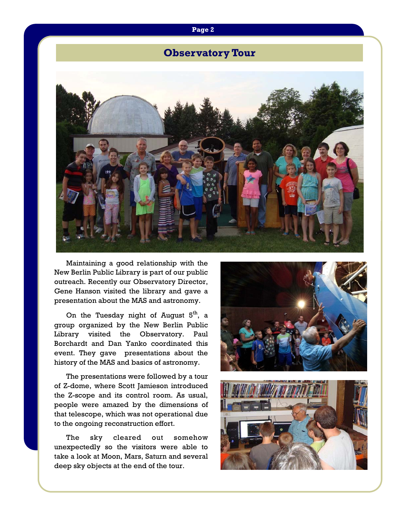## **Page 2**

# **Observatory Tour**



 Maintaining a good relationship with the New Berlin Public Library is part of our public outreach. Recently our Observatory Director, Gene Hanson visited the library and gave a presentation about the MAS and astronomy.

On the Tuesday night of August  $5<sup>th</sup>$ , a group organized by the New Berlin Public Library visited the Observatory. Paul Borchardt and Dan Yanko coordinated this event. They gave presentations about the history of the MAS and basics of astronomy.

 The presentations were followed by a tour of Z-dome, where Scott Jamieson introduced the Z-scope and its control room. As usual, people were amazed by the dimensions of that telescope, which was not operational due to the ongoing reconstruction effort.

 The sky cleared out somehow unexpectedly so the visitors were able to take a look at Moon, Mars, Saturn and several deep sky objects at the end of the tour.



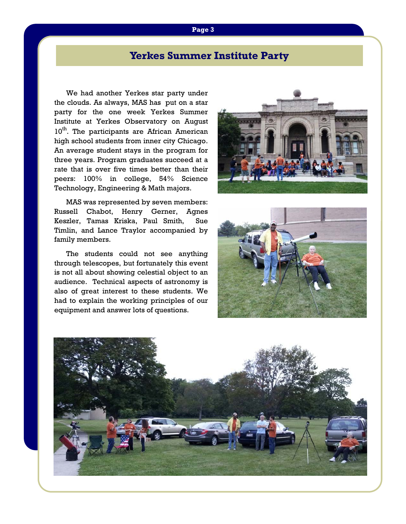## **Page 3**

# **Yerkes Summer Institute Party**

 We had another Yerkes star party under the clouds. As always, MAS has put on a star party for the one week Yerkes Summer Institute at Yerkes Observatory on August 10<sup>th</sup>. The participants are African American high school students from inner city Chicago. An average student stays in the program for three years. Program graduates succeed at a rate that is over five times better than their peers: 100% in college, 54% Science Technology, Engineering & Math majors.



 MAS was represented by seven members: Russell Chabot, Henry Gerner, Agnes Keszler, Tamas Kriska, Paul Smith, Sue Timlin, and Lance Traylor accompanied by family members.

 The students could not see anything through telescopes, but fortunately this event is not all about showing celestial object to an audience. Technical aspects of astronomy is also of great interest to these students. We had to explain the working principles of our equipment and answer lots of questions.



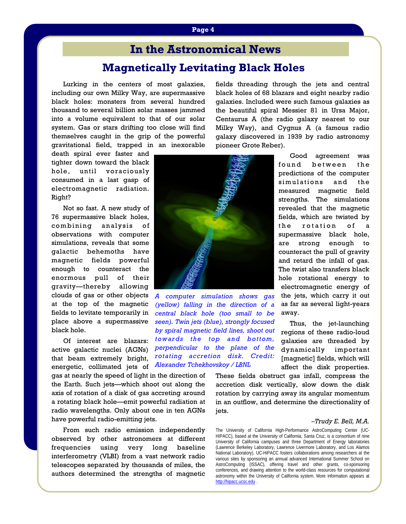# **Magnetically Levitating Black Holes In the Astronomical News**

Lurking in the centers of most galaxies, including our own Milky Way, are supermassive black holes: monsters from several hundred thousand to several billion solar masses jammed into a volume equivalent to that of our solar system. Gas or stars drifting too close will find themselves caught in the grip of the powerful gravitational field, trapped in an inexorable

death spiral ever faster and tighter down toward the black hole, until voraciously consumed in a last gasp of electromagnetic radiation. Right?

 Not so fast. A new study of 76 supermassive black holes, combining analysis of observations with computer simulations, reveals that some galactic behemoths have magnetic fields powerful enough to counteract the enormous pull of their gravity—thereby allowing clouds of gas or other objects at the top of the magnetic fields to levitate temporarily in place above a supermassive black hole.

 Of interest are blazars: active galactic nuclei (AGNs) that beam extremely bright, energetic, collimated jets of

gas at nearly the speed of light in the direction of the Earth. Such jets—which shoot out along the axis of rotation of a disk of gas accreting around a rotating black hole—emit powerful radiation at radio wavelengths. Only about one in ten AGNs have powerful radio-emitting jets.

 From such radio emission independently observed by other astronomers at different frequencies using very long baseline interferometry (VLBI) from a vast network radio telescopes separated by thousands of miles, the authors determined the strengths of magnetic

fields threading through the jets and central black holes of 68 blazars and eight nearby radio galaxies. Included were such famous galaxies as the beautiful spiral Messier 81 in Ursa Major, Centaurus A (the radio galaxy nearest to our Milky Way), and Cygnus A (a famous radio galaxy discovered in 1939 by radio astronomy pioneer Grote Reber).



*A computer simulation shows gas (yellow) falling in the direction of a central black hole (too small to be seen). Twin jets (blue), strongly focused by spiral magnetic field lines, shoot out towards the top and bottom, perpendicular to the plane of the rotating accretion disk. Credit: Alexander Tchekhovskoy / LBNL*

 Good agreement was found between the predictions of the computer simulations and the measured magnetic field strengths. The simulations revealed that the magnetic fields, which are twisted by the rotation of a supermassive black hole, are strong enough to counteract the pull of gravity and retard the infall of gas. The twist also transfers black hole rotational energy to electromagnetic energy of the jets, which carry it out as far as several light-years away.

 Thus, the jet-launching regions of these radio-loud galaxies are threaded by dynamically important [magnetic] fields, which will affect the disk properties.

These fields obstruct gas infall, compress the accretion disk vertically, slow down the disk rotation by carrying away its angular momentum in an outflow, and determine the directionality of jets.

#### *–Trudy E. Bell, M.A.*

The University of California High-Performance AstroComputing Center (UC-HIPACC), based at the University of California, Santa Cruz, is a consortium of nine University of California campuses and three Department of Energy laboratories (Lawrence Berkeley Laboratory, Lawrence Livermore Laboratory, and Los Alamos National Laboratory). UC-HiPACC fosters collaborations among researchers at the various sites by sponsoring an annual advanced International Summer School on AstroComputing (ISSAC), offering travel and other grants, co-sponsoring conferences, and drawing attention to the world-class resources for computational astronomy within the University of California system. More information appears at http://hipacc.ucsc.edu .

#### **Page 4**